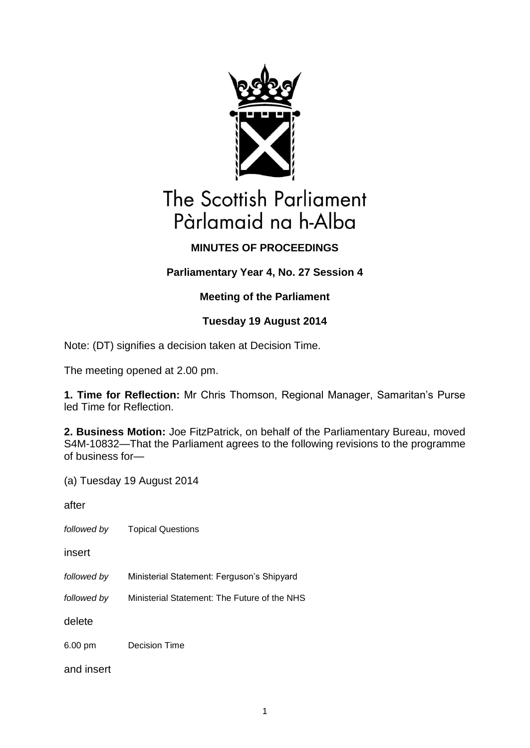

# **The Scottish Parliament** Pàrlamaid na h-Alba

## **MINUTES OF PROCEEDINGS**

## **Parliamentary Year 4, No. 27 Session 4**

## **Meeting of the Parliament**

## **Tuesday 19 August 2014**

Note: (DT) signifies a decision taken at Decision Time.

The meeting opened at 2.00 pm.

**1. Time for Reflection:** Mr Chris Thomson, Regional Manager, Samaritan's Purse led Time for Reflection.

**2. Business Motion:** Joe FitzPatrick, on behalf of the Parliamentary Bureau, moved S4M-10832—That the Parliament agrees to the following revisions to the programme of business for—

(a) Tuesday 19 August 2014

after

*followed by* Topical Questions

insert

*followed by* Ministerial Statement: Ferguson's Shipyard

*followed by* Ministerial Statement: The Future of the NHS

delete

6.00 pm Decision Time

and insert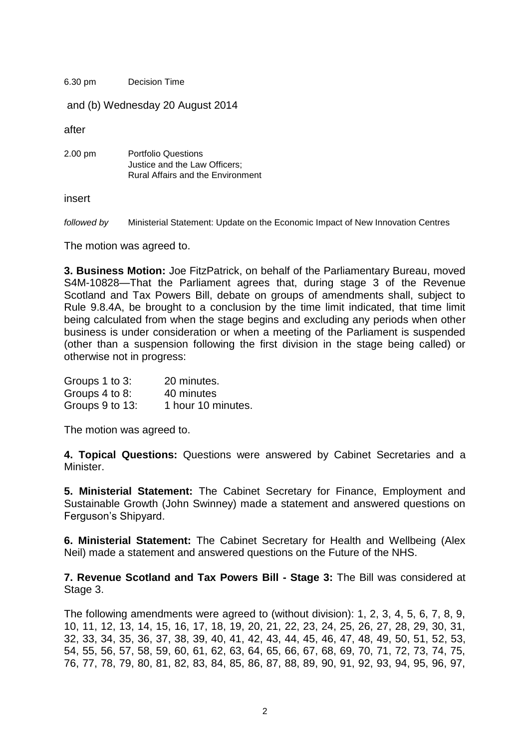6.30 pm Decision Time

and (b) Wednesday 20 August 2014

after

2.00 pm Portfolio Questions Justice and the Law Officers; Rural Affairs and the Environment

insert

*followed by* Ministerial Statement: Update on the Economic Impact of New Innovation Centres

The motion was agreed to.

**3. Business Motion:** Joe FitzPatrick, on behalf of the Parliamentary Bureau, moved S4M-10828—That the Parliament agrees that, during stage 3 of the Revenue Scotland and Tax Powers Bill, debate on groups of amendments shall, subject to Rule 9.8.4A, be brought to a conclusion by the time limit indicated, that time limit being calculated from when the stage begins and excluding any periods when other business is under consideration or when a meeting of the Parliament is suspended (other than a suspension following the first division in the stage being called) or otherwise not in progress:

Groups 1 to 3: 20 minutes. Groups 4 to 8: 40 minutes Groups 9 to 13: 1 hour 10 minutes.

The motion was agreed to.

**4. Topical Questions:** Questions were answered by Cabinet Secretaries and a Minister.

**5. Ministerial Statement:** The Cabinet Secretary for Finance, Employment and Sustainable Growth (John Swinney) made a statement and answered questions on Ferguson's Shipyard.

**6. Ministerial Statement:** The Cabinet Secretary for Health and Wellbeing (Alex Neil) made a statement and answered questions on the Future of the NHS.

**7. Revenue Scotland and Tax Powers Bill - Stage 3:** The Bill was considered at Stage 3.

The following amendments were agreed to (without division): 1, 2, 3, 4, 5, 6, 7, 8, 9, 10, 11, 12, 13, 14, 15, 16, 17, 18, 19, 20, 21, 22, 23, 24, 25, 26, 27, 28, 29, 30, 31, 32, 33, 34, 35, 36, 37, 38, 39, 40, 41, 42, 43, 44, 45, 46, 47, 48, 49, 50, 51, 52, 53, 54, 55, 56, 57, 58, 59, 60, 61, 62, 63, 64, 65, 66, 67, 68, 69, 70, 71, 72, 73, 74, 75, 76, 77, 78, 79, 80, 81, 82, 83, 84, 85, 86, 87, 88, 89, 90, 91, 92, 93, 94, 95, 96, 97,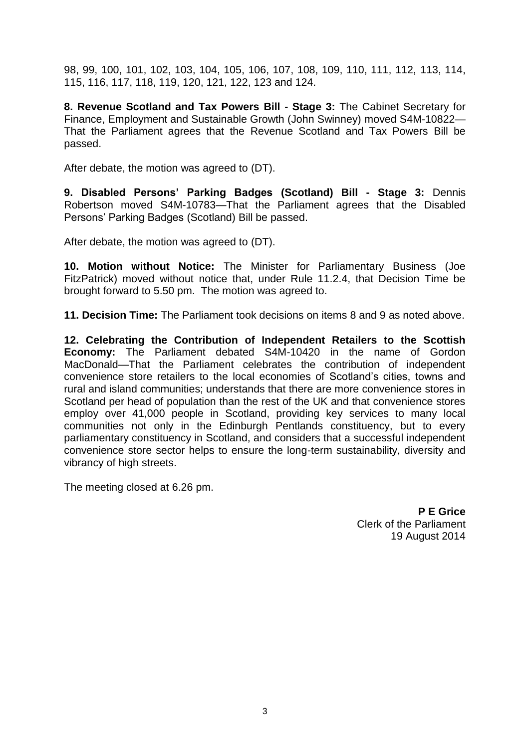98, 99, 100, 101, 102, 103, 104, 105, 106, 107, 108, 109, 110, 111, 112, 113, 114, 115, 116, 117, 118, 119, 120, 121, 122, 123 and 124.

**8. Revenue Scotland and Tax Powers Bill - Stage 3:** The Cabinet Secretary for Finance, Employment and Sustainable Growth (John Swinney) moved S4M-10822— That the Parliament agrees that the Revenue Scotland and Tax Powers Bill be passed.

After debate, the motion was agreed to (DT).

**9. Disabled Persons' Parking Badges (Scotland) Bill - Stage 3:** Dennis Robertson moved S4M-10783—That the Parliament agrees that the Disabled Persons' Parking Badges (Scotland) Bill be passed.

After debate, the motion was agreed to (DT).

**10. Motion without Notice:** The Minister for Parliamentary Business (Joe FitzPatrick) moved without notice that, under Rule 11.2.4, that Decision Time be brought forward to 5.50 pm. The motion was agreed to.

**11. Decision Time:** The Parliament took decisions on items 8 and 9 as noted above.

**12. Celebrating the Contribution of Independent Retailers to the Scottish Economy:** The Parliament debated S4M-10420 in the name of Gordon MacDonald—That the Parliament celebrates the contribution of independent convenience store retailers to the local economies of Scotland's cities, towns and rural and island communities; understands that there are more convenience stores in Scotland per head of population than the rest of the UK and that convenience stores employ over 41,000 people in Scotland, providing key services to many local communities not only in the Edinburgh Pentlands constituency, but to every parliamentary constituency in Scotland, and considers that a successful independent convenience store sector helps to ensure the long-term sustainability, diversity and vibrancy of high streets.

The meeting closed at 6.26 pm.

**P E Grice** Clerk of the Parliament 19 August 2014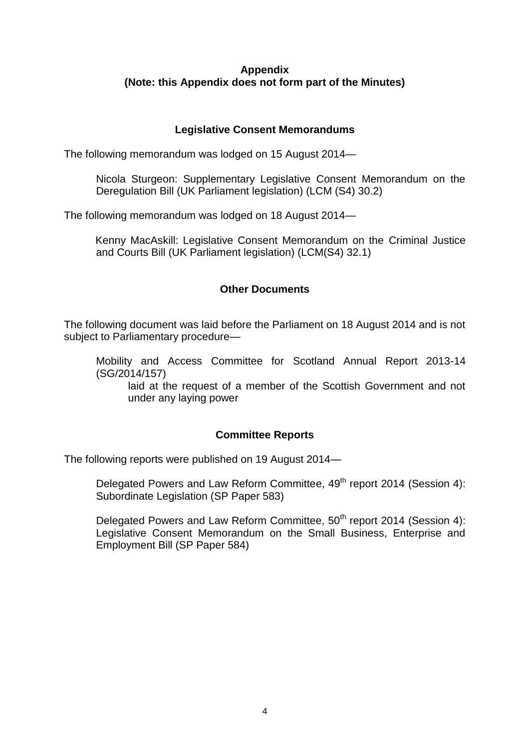### **Appendix (Note: this Appendix does not form part of the Minutes)**

### **Legislative Consent Memorandums**

The following memorandum was lodged on 15 August 2014—

Nicola Sturgeon: Supplementary Legislative Consent Memorandum on the Deregulation Bill (UK Parliament legislation) (LCM (S4) 30.2)

The following memorandum was lodged on 18 August 2014—

Kenny MacAskill: Legislative Consent Memorandum on the Criminal Justice and Courts Bill (UK Parliament legislation) (LCM(S4) 32.1)

### **Other Documents**

The following document was laid before the Parliament on 18 August 2014 and is not subject to Parliamentary procedure—

Mobility and Access Committee for Scotland Annual Report 2013-14 (SG/2014/157)

laid at the request of a member of the Scottish Government and not under any laying power

#### **Committee Reports**

The following reports were published on 19 August 2014—

Delegated Powers and Law Reform Committee, 49<sup>th</sup> report 2014 (Session 4): Subordinate Legislation (SP Paper 583)

Delegated Powers and Law Reform Committee, 50<sup>th</sup> report 2014 (Session 4): Legislative Consent Memorandum on the Small Business, Enterprise and Employment Bill (SP Paper 584)